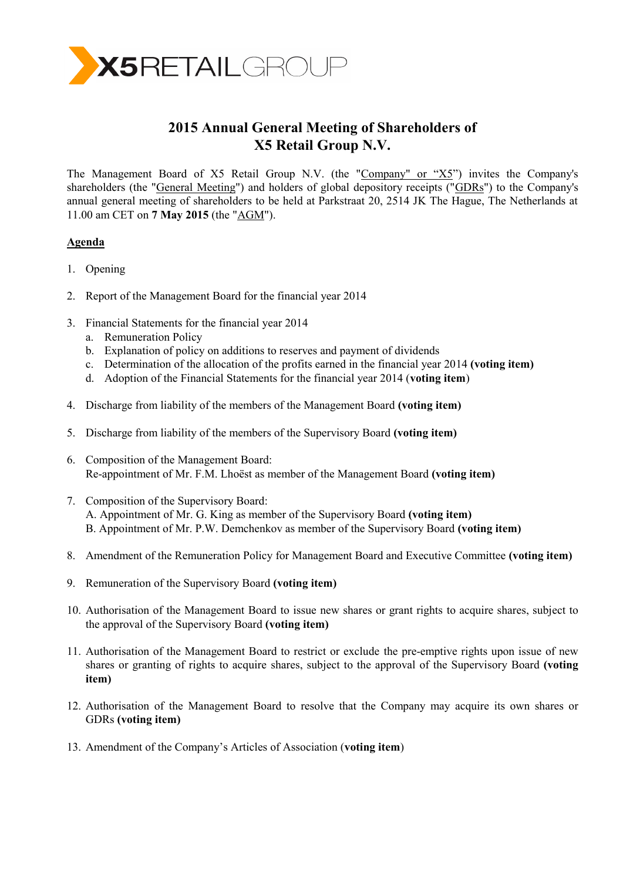

# **2015 Annual General Meeting of Shareholders of X5 Retail Group N.V.**

The Management Board of X5 Retail Group N.V. (the "Company" or "X5") invites the Company's shareholders (the "General Meeting") and holders of global depository receipts ("GDRs") to the Company's annual general meeting of shareholders to be held at Parkstraat 20, 2514 JK The Hague, The Netherlands at 11.00 am CET on **7 May 2015** (the "AGM").

# **Agenda**

- 1. Opening
- 2. Report of the Management Board for the financial year 2014
- 3. Financial Statements for the financial year 2014
	- a. Remuneration Policy
	- b. Explanation of policy on additions to reserves and payment of dividends
	- c. Determination of the allocation of the profits earned in the financial year 2014 **(voting item)**
	- d. Adoption of the Financial Statements for the financial year 2014 (**voting item**)
- 4. Discharge from liability of the members of the Management Board **(voting item)**
- 5. Discharge from liability of the members of the Supervisory Board **(voting item)**
- 6. Composition of the Management Board: Re-appointment of Mr. F.M. Lhoëst as member of the Management Board **(voting item)**
- 7. Composition of the Supervisory Board: A. Appointment of Mr. G. King as member of the Supervisory Board **(voting item)** B. Appointment of Mr. P.W. Demchenkov as member of the Supervisory Board **(voting item)**
- 8. Amendment of the Remuneration Policy for Management Board and Executive Committee **(voting item)**
- 9. Remuneration of the Supervisory Board **(voting item)**
- 10. Authorisation of the Management Board to issue new shares or grant rights to acquire shares, subject to the approval of the Supervisory Board **(voting item)**
- 11. Authorisation of the Management Board to restrict or exclude the pre-emptive rights upon issue of new shares or granting of rights to acquire shares, subject to the approval of the Supervisory Board **(voting item)**
- 12. Authorisation of the Management Board to resolve that the Company may acquire its own shares or GDRs **(voting item)**
- 13. Amendment of the Company's Articles of Association (**voting item**)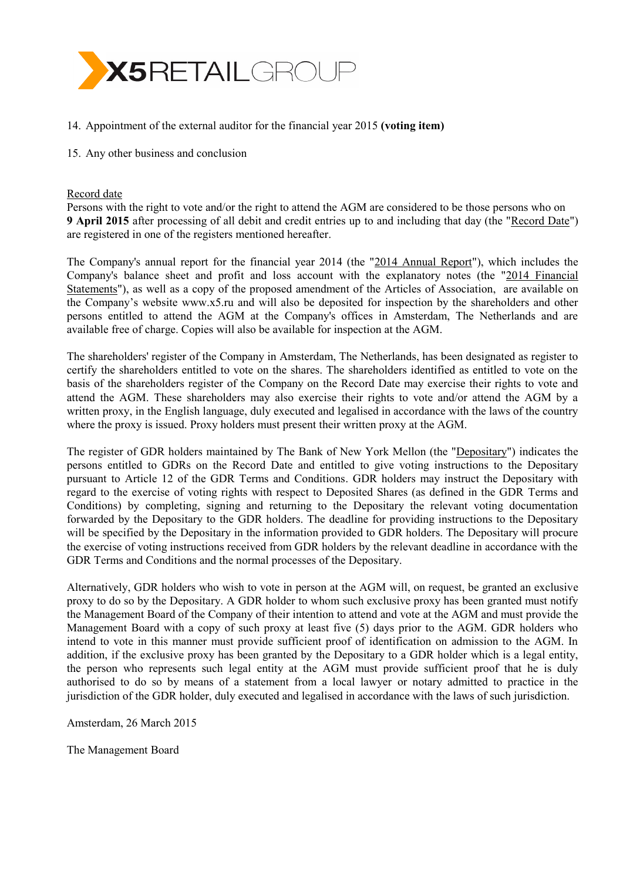

- 14. Appointment of the external auditor for the financial year 2015 **(voting item)**
- 15. Any other business and conclusion

## Record date

Persons with the right to vote and/or the right to attend the AGM are considered to be those persons who on **9 April 2015** after processing of all debit and credit entries up to and including that day (the "Record Date") are registered in one of the registers mentioned hereafter.

The Company's annual report for the financial year 2014 (the "2014 Annual Report"), which includes the Company's balance sheet and profit and loss account with the explanatory notes (the "2014 Financial Statements"), as well as a copy of the proposed amendment of the Articles of Association, are available on the Company's website [www.x5.ru](http://www.x5.ru/) and will also be deposited for inspection by the shareholders and other persons entitled to attend the AGM at the Company's offices in Amsterdam, The Netherlands and are available free of charge. Copies will also be available for inspection at the AGM.

The shareholders' register of the Company in Amsterdam, The Netherlands, has been designated as register to certify the shareholders entitled to vote on the shares. The shareholders identified as entitled to vote on the basis of the shareholders register of the Company on the Record Date may exercise their rights to vote and attend the AGM. These shareholders may also exercise their rights to vote and/or attend the AGM by a written proxy, in the English language, duly executed and legalised in accordance with the laws of the country where the proxy is issued. Proxy holders must present their written proxy at the AGM.

The register of GDR holders maintained by The Bank of New York Mellon (the "Depositary") indicates the persons entitled to GDRs on the Record Date and entitled to give voting instructions to the Depositary pursuant to Article 12 of the GDR Terms and Conditions. GDR holders may instruct the Depositary with regard to the exercise of voting rights with respect to Deposited Shares (as defined in the GDR Terms and Conditions) by completing, signing and returning to the Depositary the relevant voting documentation forwarded by the Depositary to the GDR holders. The deadline for providing instructions to the Depositary will be specified by the Depositary in the information provided to GDR holders. The Depositary will procure the exercise of voting instructions received from GDR holders by the relevant deadline in accordance with the GDR Terms and Conditions and the normal processes of the Depositary.

Alternatively, GDR holders who wish to vote in person at the AGM will, on request, be granted an exclusive proxy to do so by the Depositary. A GDR holder to whom such exclusive proxy has been granted must notify the Management Board of the Company of their intention to attend and vote at the AGM and must provide the Management Board with a copy of such proxy at least five (5) days prior to the AGM. GDR holders who intend to vote in this manner must provide sufficient proof of identification on admission to the AGM. In addition, if the exclusive proxy has been granted by the Depositary to a GDR holder which is a legal entity, the person who represents such legal entity at the AGM must provide sufficient proof that he is duly authorised to do so by means of a statement from a local lawyer or notary admitted to practice in the jurisdiction of the GDR holder, duly executed and legalised in accordance with the laws of such jurisdiction.

Amsterdam, 26 March 2015

The Management Board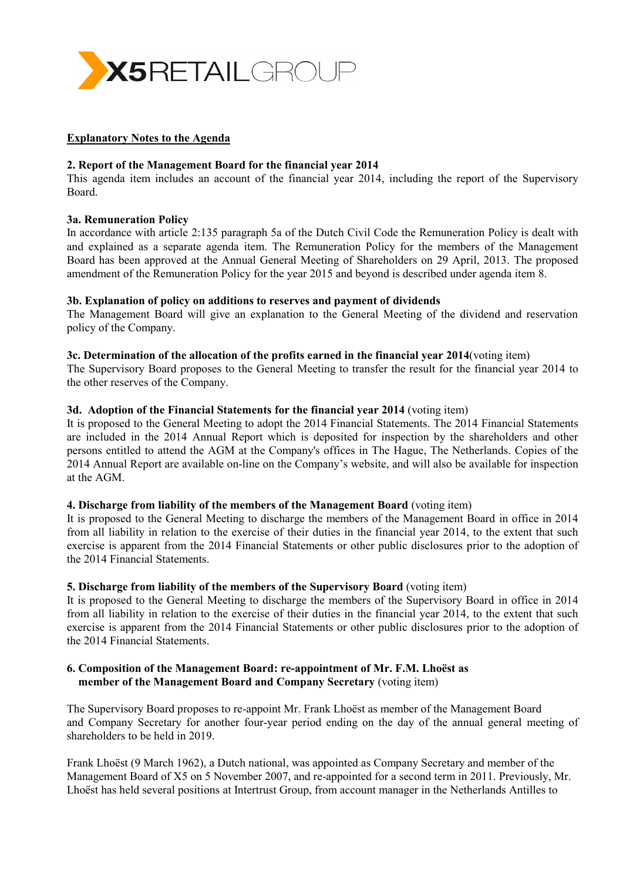

## **Explanatory Notes to the Agenda**

#### **2. Report of the Management Board for the financial year 2014**

This agenda item includes an account of the financial year 2014, including the report of the Supervisory Board.

#### **3a. Remuneration Policy**

In accordance with article 2:135 paragraph 5a of the Dutch Civil Code the Remuneration Policy is dealt with and explained as a separate agenda item. The Remuneration Policy for the members of the Management Board has been approved at the Annual General Meeting of Shareholders on 29 April, 2013. The proposed amendment of the Remuneration Policy for the year 2015 and beyond is described under agenda item 8.

#### **3b. Explanation of policy on additions to reserves and payment of dividends**

The Management Board will give an explanation to the General Meeting of the dividend and reservation policy of the Company.

#### **3c. Determination of the allocation of the profits earned in the financial year 2014**(voting item)

The Supervisory Board proposes to the General Meeting to transfer the result for the financial year 2014 to the other reserves of the Company.

#### **3d. Adoption of the Financial Statements for the financial year 2014** (voting item)

It is proposed to the General Meeting to adopt the 2014 Financial Statements. The 2014 Financial Statements are included in the 2014 Annual Report which is deposited for inspection by the shareholders and other persons entitled to attend the AGM at the Company's offices in The Hague, The Netherlands. Copies of the 2014 Annual Report are available on-line on the Company's website, and will also be available for inspection at the AGM.

#### **4. Discharge from liability of the members of the Management Board** (voting item)

It is proposed to the General Meeting to discharge the members of the Management Board in office in 2014 from all liability in relation to the exercise of their duties in the financial year 2014, to the extent that such exercise is apparent from the 2014 Financial Statements or other public disclosures prior to the adoption of the 2014 Financial Statements.

## **5. Discharge from liability of the members of the Supervisory Board** (voting item)

It is proposed to the General Meeting to discharge the members of the Supervisory Board in office in 2014 from all liability in relation to the exercise of their duties in the financial year 2014, to the extent that such exercise is apparent from the 2014 Financial Statements or other public disclosures prior to the adoption of the 2014 Financial Statements.

## **6. Composition of the Management Board: re-appointment of Mr. F.M. Lhoëst as member of the Management Board and Company Secretary** (voting item)

The Supervisory Board proposes to re-appoint Mr. Frank Lhoëst as member of the Management Board and Company Secretary for another four-year period ending on the day of the annual general meeting of shareholders to be held in 2019.

Frank Lhoëst (9 March 1962), a Dutch national, was appointed as Company Secretary and member of the Management Board of X5 on 5 November 2007, and re-appointed for a second term in 2011. Previously, Mr. Lhoëst has held several positions at Intertrust Group, from account manager in the Netherlands Antilles to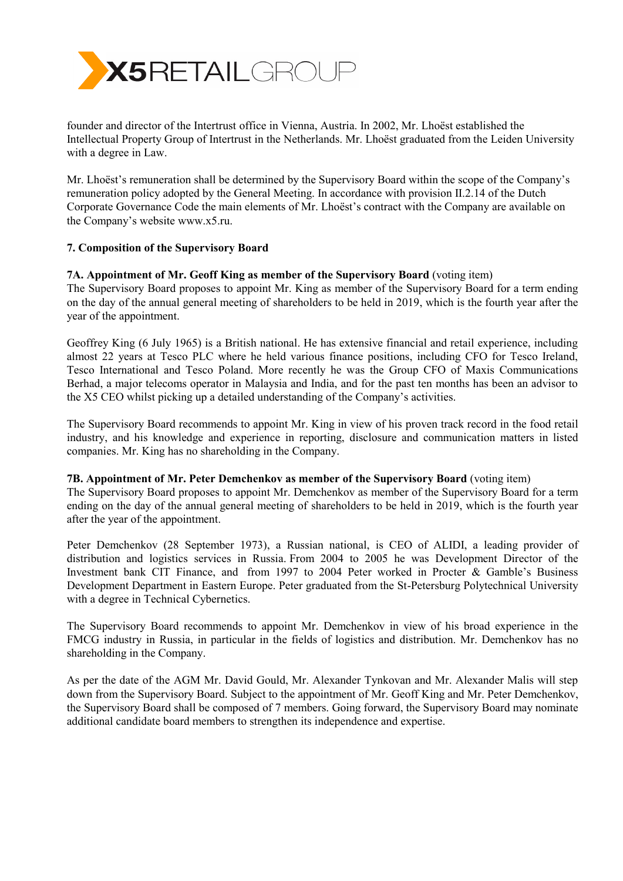

founder and director of the Intertrust office in Vienna, Austria. In 2002, Mr. Lhoëst established the Intellectual Property Group of Intertrust in the Netherlands. Mr. Lhoëst graduated from the Leiden University with a degree in Law.

Mr. Lhoëst's remuneration shall be determined by the Supervisory Board within the scope of the Company's remuneration policy adopted by the General Meeting. In accordance with provision II.2.14 of the Dutch Corporate Governance Code the main elements of Mr. Lhoëst's contract with the Company are available on the Company's website www.x5.ru.

# **7. Composition of the Supervisory Board**

## **7A. Appointment of Mr. Geoff King as member of the Supervisory Board** (voting item)

The Supervisory Board proposes to appoint Mr. King as member of the Supervisory Board for a term ending on the day of the annual general meeting of shareholders to be held in 2019, which is the fourth year after the year of the appointment.

Geoffrey King (6 July 1965) is a British national. He has extensive financial and retail experience, including almost 22 years at Tesco PLC where he held various finance positions, including CFO for Tesco Ireland, Tesco International and Tesco Poland. More recently he was the Group CFO of Maxis Communications Berhad, a major telecoms operator in Malaysia and India, and for the past ten months has been an advisor to the X5 CEO whilst picking up a detailed understanding of the Company's activities.

The Supervisory Board recommends to appoint Mr. King in view of his proven track record in the food retail industry, and his knowledge and experience in reporting, disclosure and communication matters in listed companies. Mr. King has no shareholding in the Company.

## **7B. Appointment of Mr. Peter Demchenkov as member of the Supervisory Board** (voting item)

The Supervisory Board proposes to appoint Mr. Demchenkov as member of the Supervisory Board for a term ending on the day of the annual general meeting of shareholders to be held in 2019, which is the fourth year after the year of the appointment.

Peter Demchenkov (28 September 1973), a Russian national, is CEO of ALIDI, a leading provider of distribution and logistics services in Russia. From 2004 to 2005 he was Development Director of the Investment bank CIT Finance, and from 1997 to 2004 Peter worked in Procter & Gamble's Business Development Department in Eastern Europe. Peter graduated from the St-Petersburg Polytechnical University with a degree in Technical Cybernetics.

The Supervisory Board recommends to appoint Mr. Demchenkov in view of his broad experience in the FMCG industry in Russia, in particular in the fields of logistics and distribution. Mr. Demchenkov has no shareholding in the Company.

As per the date of the AGM Mr. David Gould, Mr. Alexander Tynkovan and Mr. Alexander Malis will step down from the Supervisory Board. Subject to the appointment of Mr. Geoff King and Mr. Peter Demchenkov, the Supervisory Board shall be composed of 7 members. Going forward, the Supervisory Board may nominate additional candidate board members to strengthen its independence and expertise.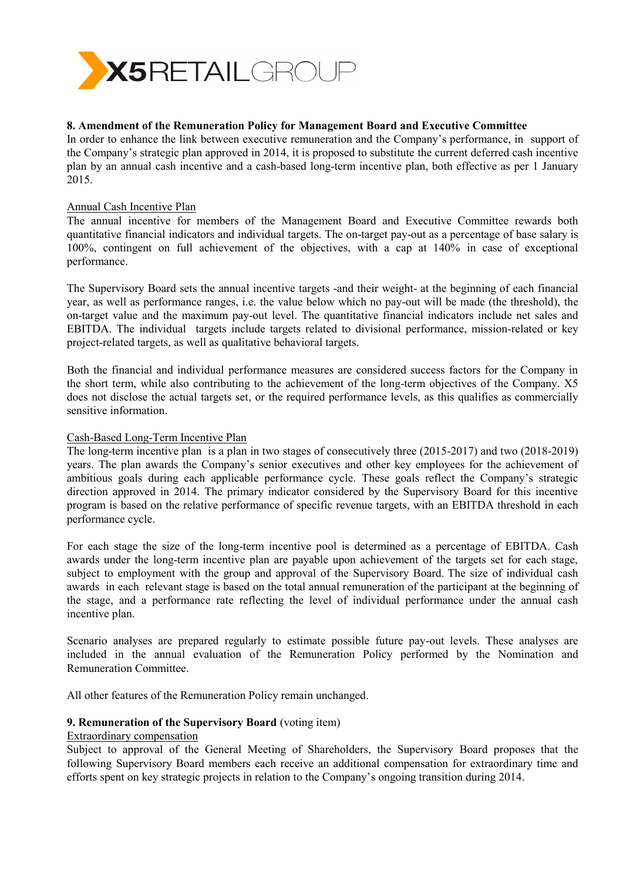

# **8. Amendment of the Remuneration Policy for Management Board and Executive Committee**

In order to enhance the link between executive remuneration and the Company's performance, in support of the Company's strategic plan approved in 2014, it is proposed to substitute the current deferred cash incentive plan by an annual cash incentive and a cash-based long-term incentive plan, both effective as per 1 January 2015.

## Annual Cash Incentive Plan

The annual incentive for members of the Management Board and Executive Committee rewards both quantitative financial indicators and individual targets. The on-target pay-out as a percentage of base salary is 100%, contingent on full achievement of the objectives, with a cap at 140% in case of exceptional performance.

The Supervisory Board sets the annual incentive targets -and their weight- at the beginning of each financial year, as well as performance ranges, i.e. the value below which no pay-out will be made (the threshold), the on-target value and the maximum pay-out level. The quantitative financial indicators include net sales and EBITDA. The individual targets include targets related to divisional performance, mission-related or key project-related targets, as well as qualitative behavioral targets.

Both the financial and individual performance measures are considered success factors for the Company in the short term, while also contributing to the achievement of the long-term objectives of the Company. X5 does not disclose the actual targets set, or the required performance levels, as this qualifies as commercially sensitive information.

## Cash-Based Long-Term Incentive Plan

The long-term incentive plan is a plan in two stages of consecutively three (2015-2017) and two (2018-2019) years. The plan awards the Company's senior executives and other key employees for the achievement of ambitious goals during each applicable performance cycle. These goals reflect the Company's strategic direction approved in 2014. The primary indicator considered by the Supervisory Board for this incentive program is based on the relative performance of specific revenue targets, with an EBITDA threshold in each performance cycle.

For each stage the size of the long-term incentive pool is determined as a percentage of EBITDA. Cash awards under the long-term incentive plan are payable upon achievement of the targets set for each stage, subject to employment with the group and approval of the Supervisory Board. The size of individual cash awards in each relevant stage is based on the total annual remuneration of the participant at the beginning of the stage, and a performance rate reflecting the level of individual performance under the annual cash incentive plan.

Scenario analyses are prepared regularly to estimate possible future pay-out levels. These analyses are included in the annual evaluation of the Remuneration Policy performed by the Nomination and Remuneration Committee.

All other features of the Remuneration Policy remain unchanged.

## **9. Remuneration of the Supervisory Board** (voting item)

# Extraordinary compensation

Subject to approval of the General Meeting of Shareholders, the Supervisory Board proposes that the following Supervisory Board members each receive an additional compensation for extraordinary time and efforts spent on key strategic projects in relation to the Company's ongoing transition during 2014.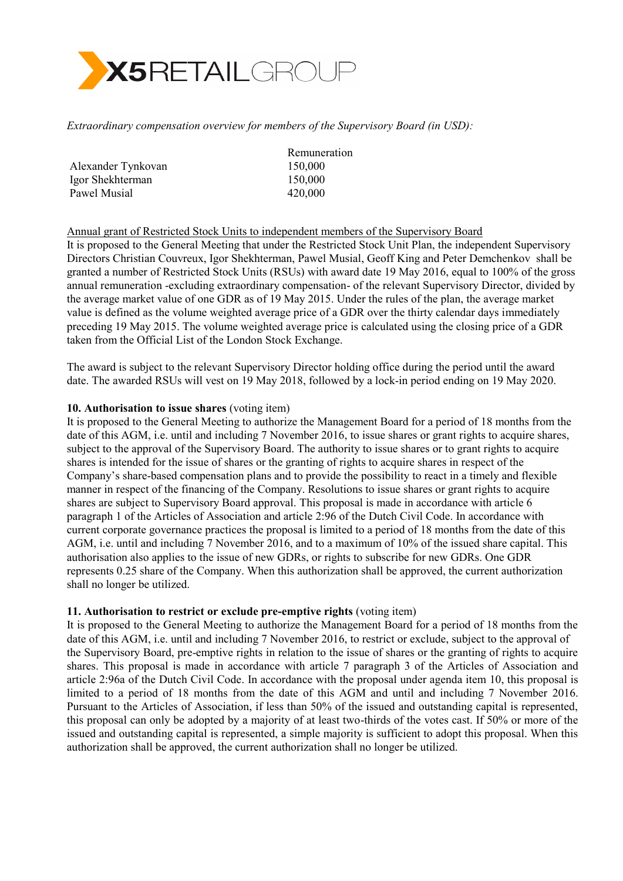

*Extraordinary compensation overview for members of the Supervisory Board (in USD):*

| Remuneration |
|--------------|
| 150,000      |
| 150,000      |
| 420,000      |
|              |

## Annual grant of Restricted Stock Units to independent members of the Supervisory Board

It is proposed to the General Meeting that under the Restricted Stock Unit Plan, the independent Supervisory Directors Christian Couvreux, Igor Shekhterman, Pawel Musial, Geoff King and Peter Demchenkov shall be granted a number of Restricted Stock Units (RSUs) with award date 19 May 2016, equal to 100% of the gross annual remuneration -excluding extraordinary compensation- of the relevant Supervisory Director, divided by the average market value of one GDR as of 19 May 2015. Under the rules of the plan, the average market value is defined as the volume weighted average price of a GDR over the thirty calendar days immediately preceding 19 May 2015. The volume weighted average price is calculated using the closing price of a GDR taken from the Official List of the London Stock Exchange.

The award is subject to the relevant Supervisory Director holding office during the period until the award date. The awarded RSUs will vest on 19 May 2018, followed by a lock-in period ending on 19 May 2020.

#### **10. Authorisation to issue shares** (voting item)

It is proposed to the General Meeting to authorize the Management Board for a period of 18 months from the date of this AGM, i.e. until and including 7 November 2016, to issue shares or grant rights to acquire shares, subject to the approval of the Supervisory Board. The authority to issue shares or to grant rights to acquire shares is intended for the issue of shares or the granting of rights to acquire shares in respect of the Company's share-based compensation plans and to provide the possibility to react in a timely and flexible manner in respect of the financing of the Company. Resolutions to issue shares or grant rights to acquire shares are subject to Supervisory Board approval. This proposal is made in accordance with article 6 paragraph 1 of the Articles of Association and article 2:96 of the Dutch Civil Code. In accordance with current corporate governance practices the proposal is limited to a period of 18 months from the date of this AGM, i.e. until and including 7 November 2016, and to a maximum of 10% of the issued share capital. This authorisation also applies to the issue of new GDRs, or rights to subscribe for new GDRs. One GDR represents 0.25 share of the Company. When this authorization shall be approved, the current authorization shall no longer be utilized.

## **11. Authorisation to restrict or exclude pre-emptive rights** (voting item)

It is proposed to the General Meeting to authorize the Management Board for a period of 18 months from the date of this AGM, i.e. until and including 7 November 2016, to restrict or exclude, subject to the approval of the Supervisory Board, pre-emptive rights in relation to the issue of shares or the granting of rights to acquire shares. This proposal is made in accordance with article 7 paragraph 3 of the Articles of Association and article 2:96a of the Dutch Civil Code. In accordance with the proposal under agenda item 10, this proposal is limited to a period of 18 months from the date of this AGM and until and including 7 November 2016. Pursuant to the Articles of Association, if less than 50% of the issued and outstanding capital is represented, this proposal can only be adopted by a majority of at least two-thirds of the votes cast. If 50% or more of the issued and outstanding capital is represented, a simple majority is sufficient to adopt this proposal. When this authorization shall be approved, the current authorization shall no longer be utilized.